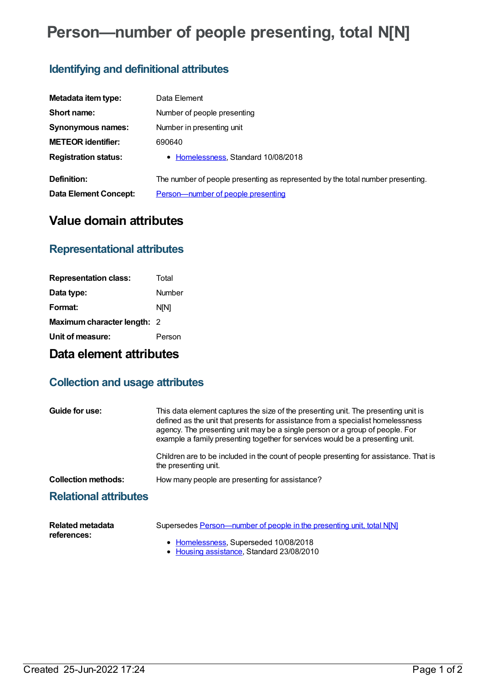# **Person—number of people presenting, total N[N]**

# **Identifying and definitional attributes**

| Metadata item type:         | Data Element                                                                   |
|-----------------------------|--------------------------------------------------------------------------------|
| Short name:                 | Number of people presenting                                                    |
| Synonymous names:           | Number in presenting unit                                                      |
| <b>METEOR identifier:</b>   | 690640                                                                         |
| <b>Registration status:</b> | • Homelessness, Standard 10/08/2018                                            |
| Definition:                 | The number of people presenting as represented by the total number presenting. |
| Data Element Concept:       | Person-number of people presenting                                             |

## **Value domain attributes**

#### **Representational attributes**

| <b>Representation class:</b> | Total       |
|------------------------------|-------------|
| Data type:                   | Number      |
| Format:                      | <b>NIN1</b> |
| Maximum character length: 2  |             |
| Unit of measure:             | Person      |

# **Data element attributes**

### **Collection and usage attributes**

| Guide for use:               | This data element captures the size of the presenting unit. The presenting unit is<br>defined as the unit that presents for assistance from a specialist homelessness<br>agency. The presenting unit may be a single person or a group of people. For<br>example a family presenting together for services would be a presenting unit. |
|------------------------------|----------------------------------------------------------------------------------------------------------------------------------------------------------------------------------------------------------------------------------------------------------------------------------------------------------------------------------------|
|                              | Children are to be included in the count of people presenting for assistance. That is<br>the presenting unit.                                                                                                                                                                                                                          |
| <b>Collection methods:</b>   | How many people are presenting for assistance?                                                                                                                                                                                                                                                                                         |
| <b>Relational attributes</b> |                                                                                                                                                                                                                                                                                                                                        |

| Related metadata | Supersedes Person-number of people in the presenting unit, total N[N] |
|------------------|-----------------------------------------------------------------------|
| references:      |                                                                       |
|                  | • Homelessness, Superseded 10/08/2018                                 |

• Housing [assistance](https://meteor.aihw.gov.au/RegistrationAuthority/11), Standard 23/08/2010